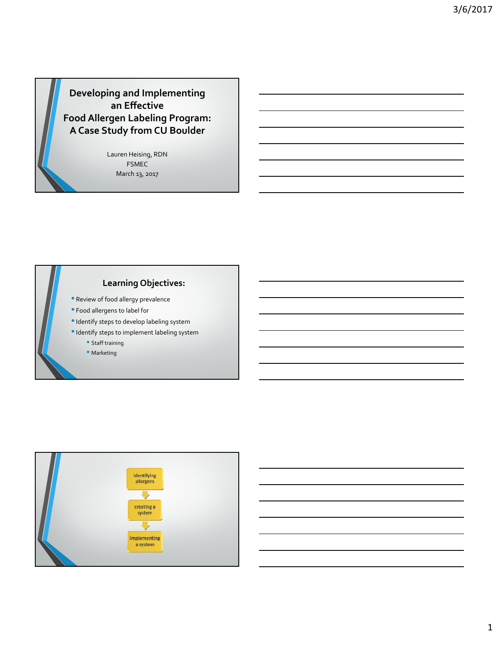**Developing and Implementing an Effective Food Allergen Labeling Program: A Case Study from CU Boulder**

> Lauren Heising, RDN FSMEC March 13, 2017

# **Learning Objectives:**

- Review of food allergy prevalence
- Food allergens to label for
- •Identify steps to develop labeling system
- •Identify steps to implement labeling system
	- Staff training
	- Marketing

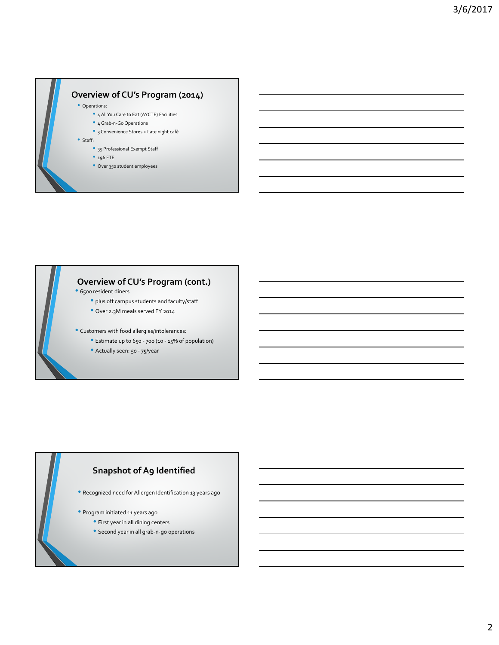

# **Overview of CU's Program (cont.)**<br>• 6500 resident diners

- - plus off campus students and faculty/staff
	- Over 2.3M meals served FY <sup>2014</sup>
- Customers with food allergies/intolerances:
	- Estimate up to <sup>650</sup> ‐ <sup>700</sup> (10 ‐ 15% of population)
	- Actually seen: <sup>50</sup> ‐ 75/year

#### **Snapshot of A9 Identified**

- Recognized need forAllergen Identification <sup>13</sup> years ago
- Program initiated <sup>11</sup> years ago
	- First year in all dining centers
	- Second year in all grab‐n‐go operations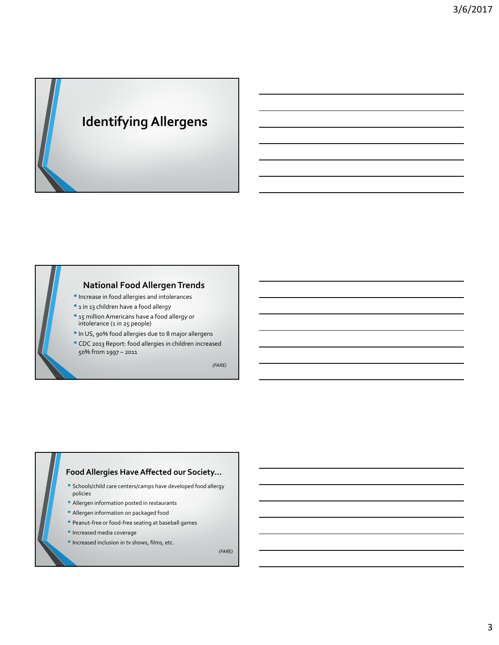# **Identifying Allergens**

#### **National Food Allergen Trends**

- •Increase in food allergies and intolerances
- <sup>1</sup> in <sup>13</sup> children have <sup>a</sup> food allergy
- <sup>15</sup> million Americans have <sup>a</sup> food allergy or intolerance (1 in 25 people)
- •In US, 90% food allergies due to <sup>8</sup> major allergens
- CDC <sup>2013</sup> Report: food allergies in children increased 50% from 1997 – 2011

*(FARE)*

#### **Food Allergies HaveAffected our Society…**

- Schools/child care centers/camps have developed food allergy policies
- Allergen information posted in restaurants
- Allergen information on packaged food
- Peanut‐free or food‐free seating at baseball games
- Increased media coverage
- Increased inclusion in tv shows, films, etc.

*(FARE)*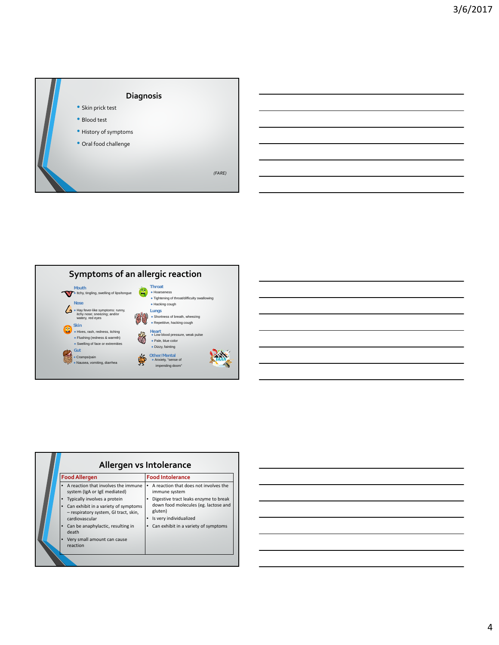



| Allergen vs Intolerance                                                                                                         |                                                                                                                    |  |  |
|---------------------------------------------------------------------------------------------------------------------------------|--------------------------------------------------------------------------------------------------------------------|--|--|
| <b>Food Allergen</b>                                                                                                            | <b>Food Intolerance</b>                                                                                            |  |  |
| A reaction that involves the immune<br>system (IgA or IgE mediated)                                                             | A reaction that does not involves the<br>immune system                                                             |  |  |
| Typically involves a protein<br>Can exhibit in a variety of symptoms<br>- respiratory system, GI tract, skin,<br>cardiovascular | Digestive tract leaks enzyme to break<br>down food molecules (eg. lactose and<br>gluten)<br>Is very individualized |  |  |
| Can be anaphylactic, resulting in<br>death                                                                                      | Can exhibit in a variety of symptoms                                                                               |  |  |
| Very small amount can cause<br>reaction                                                                                         |                                                                                                                    |  |  |
|                                                                                                                                 |                                                                                                                    |  |  |

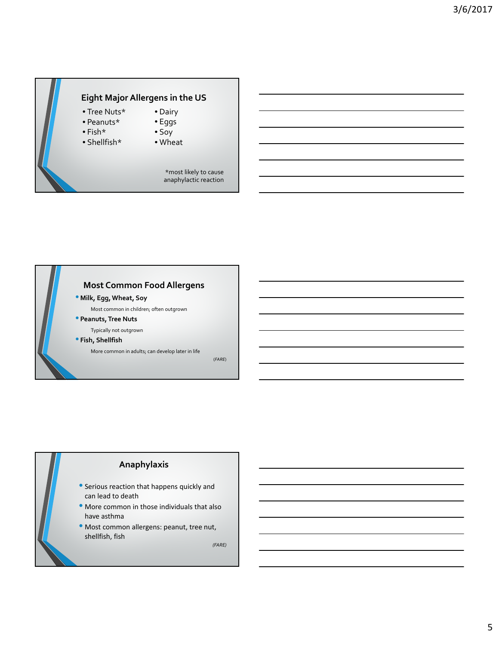# **Eight Major Allergens in the US**

• Tree Nuts\*

• Fish\*

- Peanuts\*
	-
- Shellfish\*
- Eggs • Soy

• Dairy

• Wheat

\*most likely to cause anaphylactic reaction

# **Most Common FoodAllergens** • **Milk, Egg,Wheat, Soy** Most common in children; often outgrown • **Peanuts,Tree Nuts** Typically not outgrown • **Fish, Shellfish** More common in adults; can develop later in life

(*FARE*)

# **Anaphylaxis** • Serious reaction that happens quickly and can lead to death • More common in those individuals that also have asthma • Most common allergens: peanut, tree nut, shellfish, fish *(FARE)*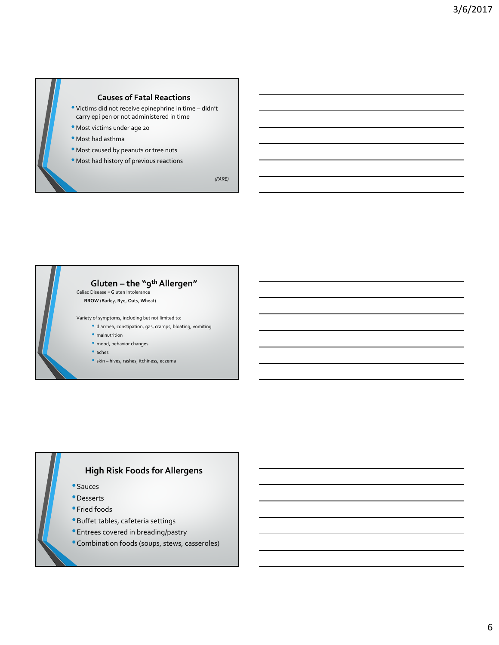



- diarrhea, constipation, gas, cramps, bloating, vomiting
- malnutrition
- mood, behavior changes
- aches
- skin hives, rashes, itchiness, eczema

#### **High Risk Foods for Allergens**

- •Sauces
- •Desserts
- **•**Fried foods
- •Buffet tables, cafeteria settings
- •Entrees covered in breading/pastry
- •Combination foods (soups, stews, casseroles)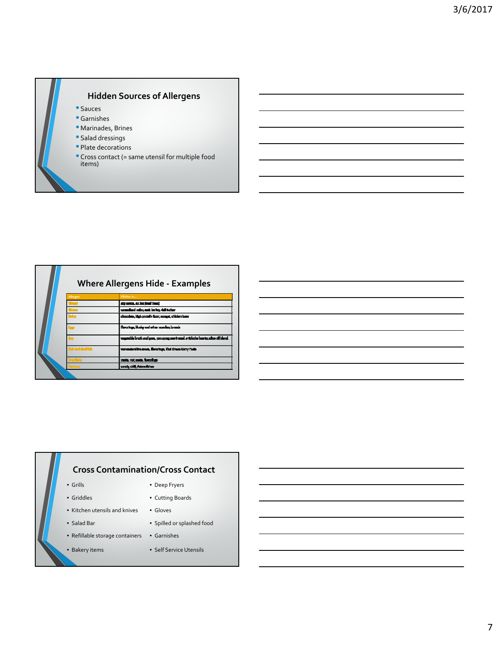# **Hidden Sources of Allergens**

- Sauces
- Garnishes
- Marinades, Brines
- Salad dressings
- Plate decorations
- Cross contact (= same utensil for multiple food items)

| <b>Where Allergens Hide - Examples</b> |                                                                                   |  |  |
|----------------------------------------|-----------------------------------------------------------------------------------|--|--|
| Allergen                               | Hidden In                                                                         |  |  |
|                                        | stry somes, an inst (beat loose)                                                  |  |  |
|                                        | cannelized outogenek barteg dall turkey                                           |  |  |
|                                        | chouzhie, high protein floar, noagat, chicken luxer                               |  |  |
|                                        | florenings, blooky and other nearches, branch                                     |  |  |
|                                        | egeische kreisk and genu, pan apreg, mortreizel artiche kalente, eites eil bland. |  |  |
|                                        | venaslani frasıva, flaqring, Tisi Gram Cury Palla                                 |  |  |
|                                        | pasta, rat pasta, fasculogo                                                       |  |  |
|                                        | canada, chill, Aslam silshus.                                                     |  |  |
|                                        |                                                                                   |  |  |

### **Cross Contamination/Cross Contact**

- Grills Deep Fryers
- 
- Griddles Cutting Boards
- Kitchen utensils and knives Gloves
- Salad Bar Spilled or splashed food
- Refillable storage containers Garnishes
- Bakery items
- Self Service Utensils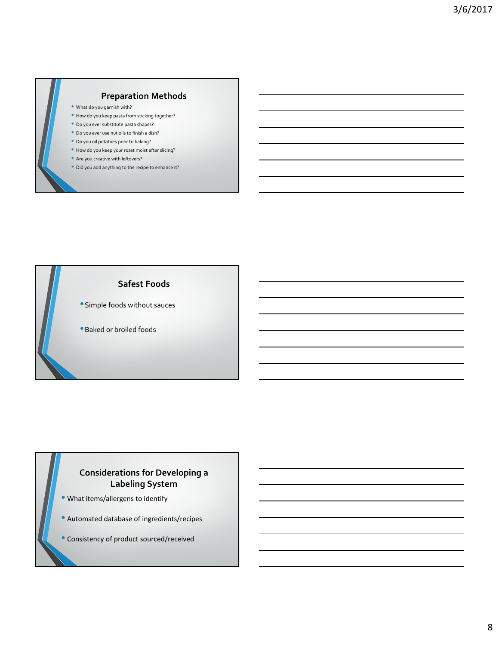#### **Preparation Methods**

- What do you garnish with?
- How do you keep pasta from sticking together?
- Do you ever substitute pasta shapes?
- Do you ever use nut oils to finish <sup>a</sup> dish?
- Do you oil potatoes prior to baking?
- How do you keep your roast moist after slicing?
- Are you creative with leftovers?
- Did you add anything to the recipe to enhance it?



- •Simple foods without sauces
- •Baked or broiled foods

### **Considerations for Developing a Labeling System**

- What items/allergens to identify
- Automated database of ingredients/recipes
- Consistency of product sourced/received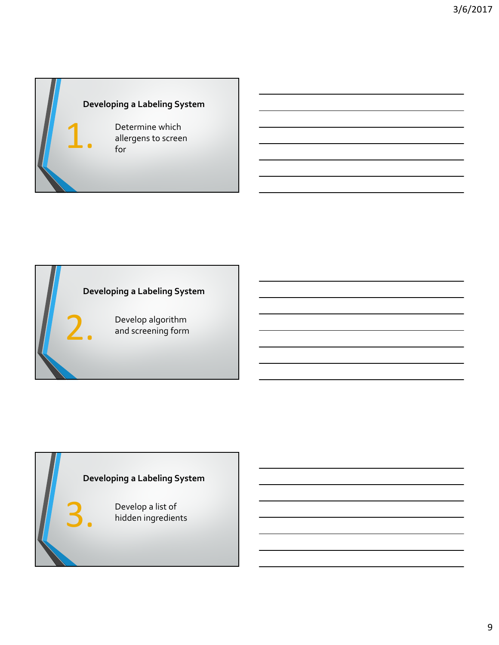<u> 1989 - Johann Barbara, martxa alemaniar a</u>

# **Developing a Labeling System**

Determine which<br>allergens to scree<br>for allergens to screen for

# **Developing a Labeling System**

Develop algorithm and screening form

# **Developing a Labeling System**

S. Develop a list of<br>hidden ingredie hidden ingredients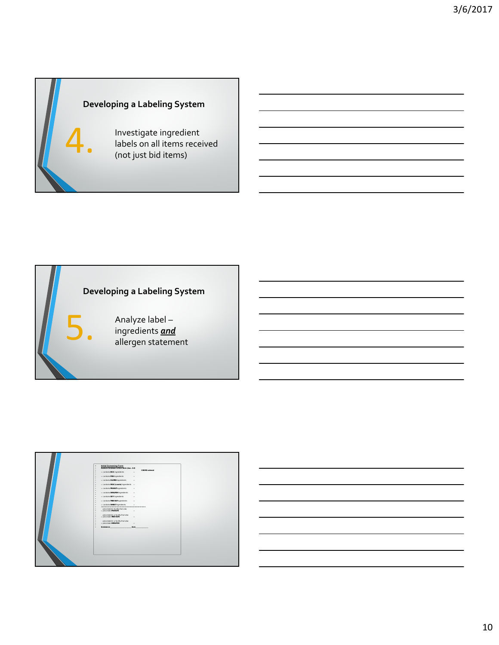<u> 1980 - Johann Barbara, martxa alemaniar a</u>

# **Developing a Labeling System**

4. Investigate ingredient labels on all items received (not just bid items)

# **Developing a Labeling System**

5. Analyze label – ingredients *and* allergen statement

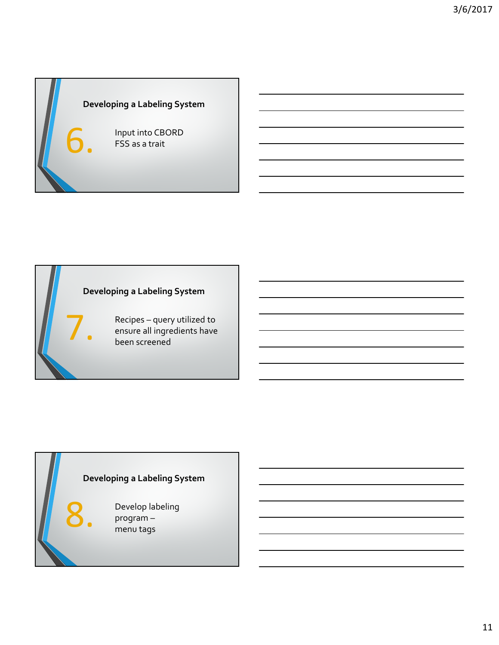# **Developing a Labeling System**

Input into CBORD FSS as a trait

# **Developing a Labeling System**

Recipes – query utilized to ensure all ingredients have been screened

# **Developing a Labeling System**

Develop labeling program – menu tags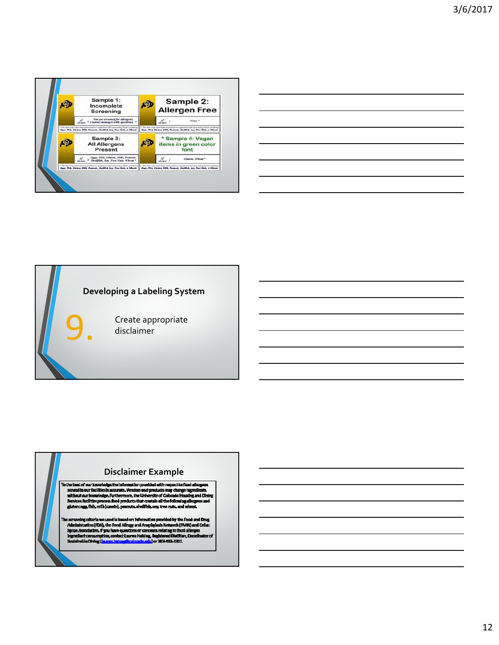

| <u> 1989 - Johann Stoff, amerikansk politiker (d. 1989)</u>                                                            |  |  |
|------------------------------------------------------------------------------------------------------------------------|--|--|
| <u> 1989 - Johann Stoff, deutscher Stoff, der Stoff, der Stoff, der Stoff, der Stoff, der Stoff, der Stoff, der S</u>  |  |  |
| <u> 1989 - Johann Stoff, deutscher Stoffen und der Stoffen und der Stoffen und der Stoffen und der Stoffen und der</u> |  |  |
| <u> 1989 - Johann Stoff, deutscher Stoff, der Stoff, der Stoff, der Stoff, der Stoff, der Stoff, der Stoff, der S</u>  |  |  |
| <u> 1989 - Johann Stoff, deutscher Stoff, der Stoff, der Stoff, der Stoff, der Stoff, der Stoff, der Stoff, der S</u>  |  |  |
|                                                                                                                        |  |  |

# **Developing a Labeling System**

Create appropriate disclaimer

**Disclaimer Example**<br> **Tothe bast of our locouledge the information provided with respect to fead allegans<br>
<b>Straight our find littlesk scurite, Wendors and products may change ingredients**<br> **Straight and Diving Straight** 

a screening calteria we want is haved on Information provided by the Focult and Doug<br>Administration (FDA), the Food Allexgy and Amginglaxis Network (FAAN) and Cellac<br>Sprox Association: If you have quasificate concerns rela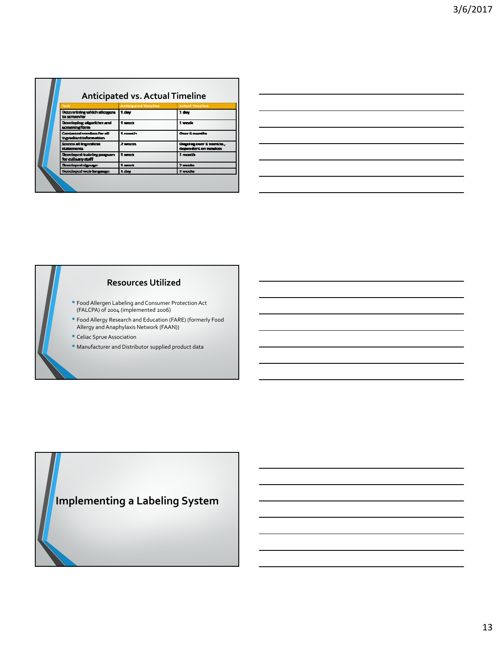|  | <b>Anticipated vs. Actual Timeline</b>              |                             |                                                    |  |
|--|-----------------------------------------------------|-----------------------------|----------------------------------------------------|--|
|  | Task                                                | <b>Anticipated Timeline</b> | <b>Actual Timeline</b>                             |  |
|  | Determining which allengens   1 day<br>to screenfor |                             | 1 day                                              |  |
|  | Desveloping algorithm and<br>screeningform          | 1 week                      | 1 week                                             |  |
|  | Contacted vendors for all<br>ingredient information | 1. month                    | <b>Over 6 months</b>                               |  |
|  | Screen all impressions:<br>statements               | <b>2</b> watch              | Congoing creer 6 marriles,<br>dependent on vendors |  |
|  | Desveloped training program<br>for culinary staff   | 1. work                     | 1 month                                            |  |
|  | Developed signage                                   | 1. week                     | 2 unados                                           |  |
|  | Developed web language.                             | 1 day                       | $2$ weeks                                          |  |

#### **Resources Utilized**

- Food Allergen Labeling and Consumer Protection Act (FALCPA) of 2004 (implemented 2006)
- FoodAllergy Research and Education (FARE) (formerly Food Allergy and Anaphylaxis Network (FAAN))
- Celiac Sprue Association
- Manufacturer and Distributor supplied product data

# **Implementing a Labeling System**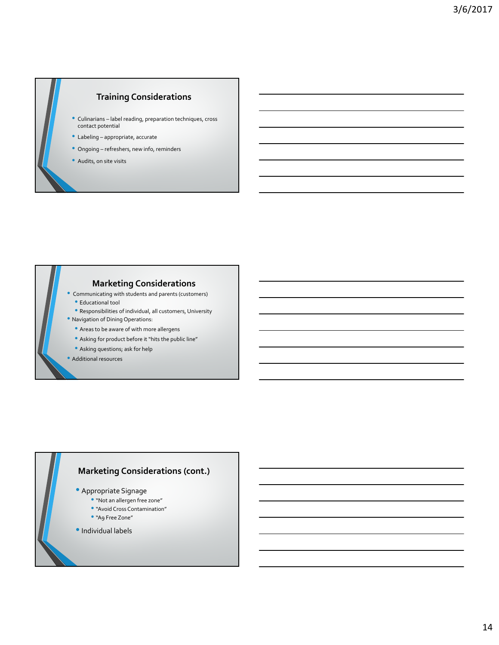# **Training Considerations**

- Culinarians label reading, preparation techniques, cross contact potential
- Labeling appropriate, accurate
- Ongoing refreshers, new info, reminders
- Audits, on site visits

# **Marketing Considerations**

- Communicating with students and parents (customers) • Educational tool
- Responsibilities of individual, all customers, University
- Navigation of Dining Operations:
	- Areas to be aware of with more allergens
	- Asking for product before it "hits the public line"
	- Asking questions; ask for help
- Additional resources

#### **Marketing Considerations (cont.)**

- Appropriate Signage
	- "Not an allergen free zone"
	- "Avoid Cross Contamination"
	- "A9 Free Zone"
- •Individual labels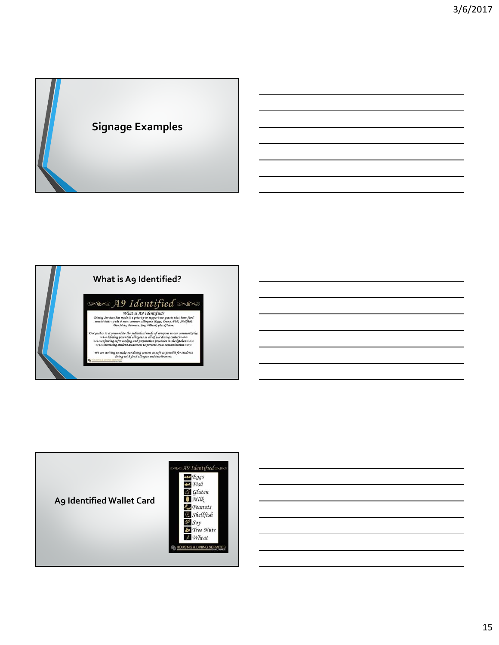



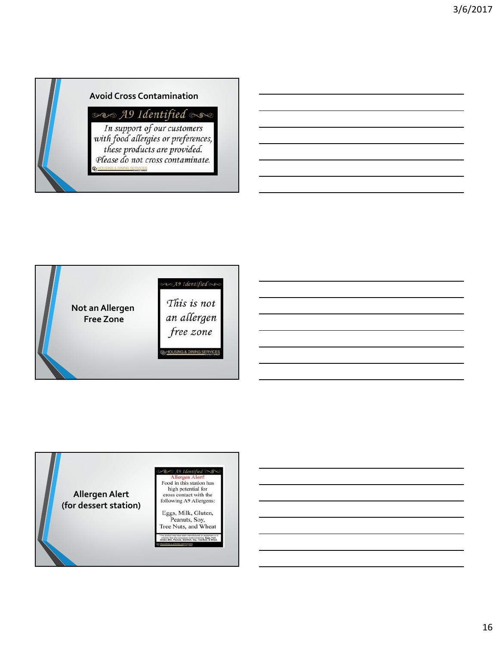

### **Avoid Cross Contamination**

can A9 Identified now

In support of our customers<br>with food allergies or preferences,<br>these products are provided.<br>Please do not cross contaminate. **GHOUSING & DINING SERVICES** 



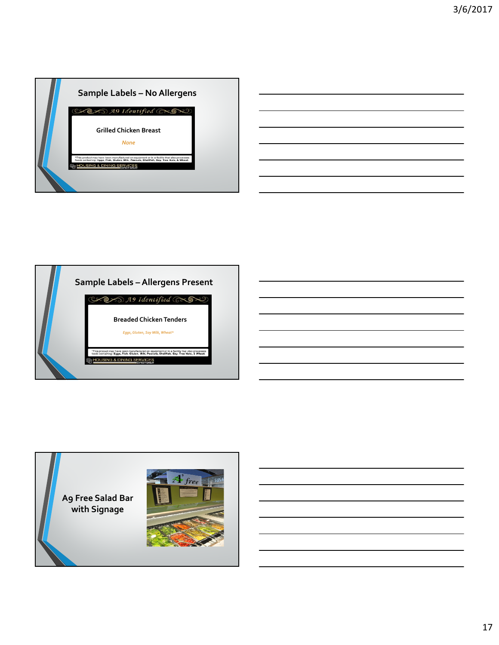





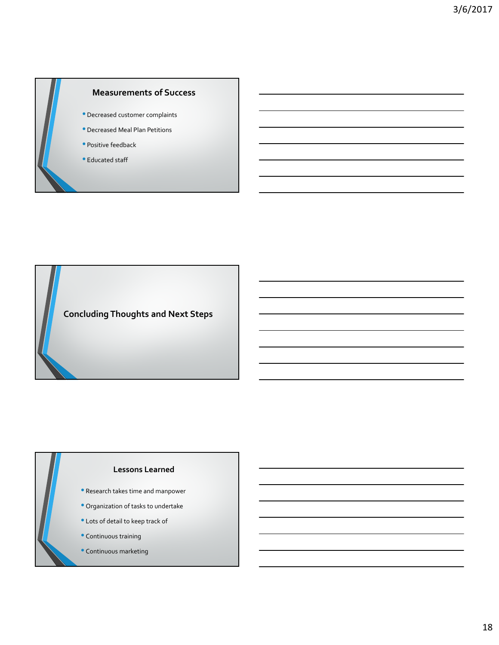



#### **Lessons Learned**

- Research takes time and manpower
- Organization of tasks to undertake
- Lots of detail to keep track of
- Continuous training
- Continuous marketing